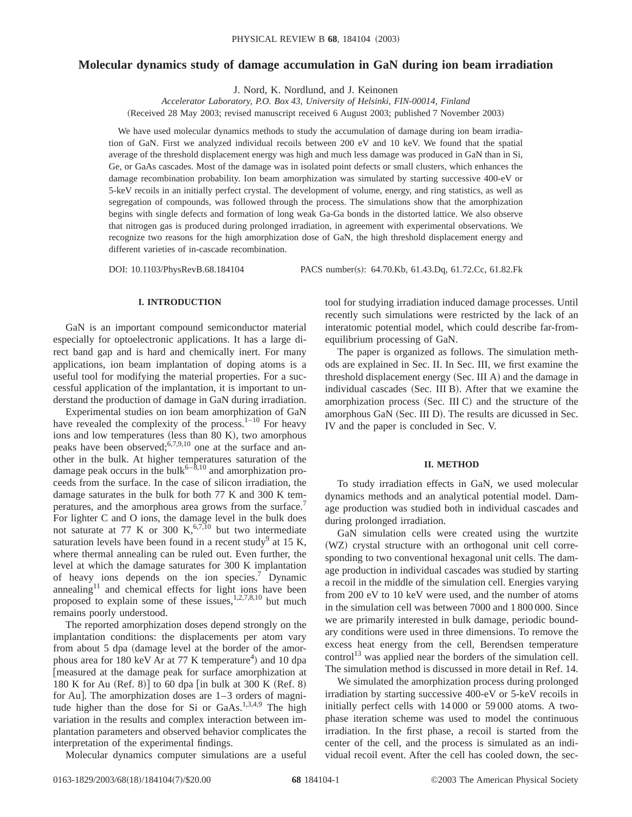# **Molecular dynamics study of damage accumulation in GaN during ion beam irradiation**

J. Nord, K. Nordlund, and J. Keinonen

*Accelerator Laboratory, P.O. Box 43, University of Helsinki, FIN-00014, Finland*

(Received 28 May 2003; revised manuscript received 6 August 2003; published 7 November 2003)

We have used molecular dynamics methods to study the accumulation of damage during ion beam irradiation of GaN. First we analyzed individual recoils between 200 eV and 10 keV. We found that the spatial average of the threshold displacement energy was high and much less damage was produced in GaN than in Si, Ge, or GaAs cascades. Most of the damage was in isolated point defects or small clusters, which enhances the damage recombination probability. Ion beam amorphization was simulated by starting successive 400-eV or 5-keV recoils in an initially perfect crystal. The development of volume, energy, and ring statistics, as well as segregation of compounds, was followed through the process. The simulations show that the amorphization begins with single defects and formation of long weak Ga-Ga bonds in the distorted lattice. We also observe that nitrogen gas is produced during prolonged irradiation, in agreement with experimental observations. We recognize two reasons for the high amorphization dose of GaN, the high threshold displacement energy and different varieties of in-cascade recombination.

DOI: 10.1103/PhysRevB.68.184104 PACS number(s): 64.70.Kb, 61.43.Dq, 61.72.Cc, 61.82.Fk

## **I. INTRODUCTION**

GaN is an important compound semiconductor material especially for optoelectronic applications. It has a large direct band gap and is hard and chemically inert. For many applications, ion beam implantation of doping atoms is a useful tool for modifying the material properties. For a successful application of the implantation, it is important to understand the production of damage in GaN during irradiation.

Experimental studies on ion beam amorphization of GaN have revealed the complexity of the process. $1-10$  For heavy ions and low temperatures (less than 80 K), two amorphous peaks have been observed; $6,7,9,10$  one at the surface and another in the bulk. At higher temperatures saturation of the damage peak occurs in the bulk<sup>6–8,10</sup> and amorphization proceeds from the surface. In the case of silicon irradiation, the damage saturates in the bulk for both 77 K and 300 K temperatures, and the amorphous area grows from the surface.<sup>7</sup> For lighter C and O ions, the damage level in the bulk does not saturate at 77 K or 300 K,<sup>6,7,10</sup> but two intermediate saturation levels have been found in a recent study<sup>9</sup> at 15 K, where thermal annealing can be ruled out. Even further, the level at which the damage saturates for 300 K implantation of heavy ions depends on the ion species.<sup>7</sup> Dynamic annealing $11$  and chemical effects for light ions have been proposed to explain some of these issues, $1,2,7,8,10$  but much remains poorly understood.

The reported amorphization doses depend strongly on the implantation conditions: the displacements per atom vary from about 5 dpa (damage level at the border of the amorphous area for 180 keV Ar at 77 K temperature<sup>4</sup>) and 10 dpa @measured at the damage peak for surface amorphization at 180 K for Au (Ref. 8)] to 60 dpa [in bulk at 300 K (Ref. 8) for Au]. The amorphization doses are  $1-3$  orders of magnitude higher than the dose for Si or GaAs.<sup>1,3,4,9</sup> The high variation in the results and complex interaction between implantation parameters and observed behavior complicates the interpretation of the experimental findings.

Molecular dynamics computer simulations are a useful

tool for studying irradiation induced damage processes. Until recently such simulations were restricted by the lack of an interatomic potential model, which could describe far-fromequilibrium processing of GaN.

The paper is organized as follows. The simulation methods are explained in Sec. II. In Sec. III, we first examine the threshold displacement energy (Sec. III A) and the damage in individual cascades (Sec. III B). After that we examine the amorphization process  $(Sec. III C)$  and the structure of the amorphous GaN (Sec. III D). The results are dicussed in Sec. IV and the paper is concluded in Sec. V.

### **II. METHOD**

To study irradiation effects in GaN, we used molecular dynamics methods and an analytical potential model. Damage production was studied both in individual cascades and during prolonged irradiation.

GaN simulation cells were created using the wurtzite (WZ) crystal structure with an orthogonal unit cell corresponding to two conventional hexagonal unit cells. The damage production in individual cascades was studied by starting a recoil in the middle of the simulation cell. Energies varying from 200 eV to 10 keV were used, and the number of atoms in the simulation cell was between 7000 and 1 800 000. Since we are primarily interested in bulk damage, periodic boundary conditions were used in three dimensions. To remove the excess heat energy from the cell, Berendsen temperature control<sup>13</sup> was applied near the borders of the simulation cell. The simulation method is discussed in more detail in Ref. 14.

We simulated the amorphization process during prolonged irradiation by starting successive 400-eV or 5-keV recoils in initially perfect cells with 14 000 or 59 000 atoms. A twophase iteration scheme was used to model the continuous irradiation. In the first phase, a recoil is started from the center of the cell, and the process is simulated as an individual recoil event. After the cell has cooled down, the sec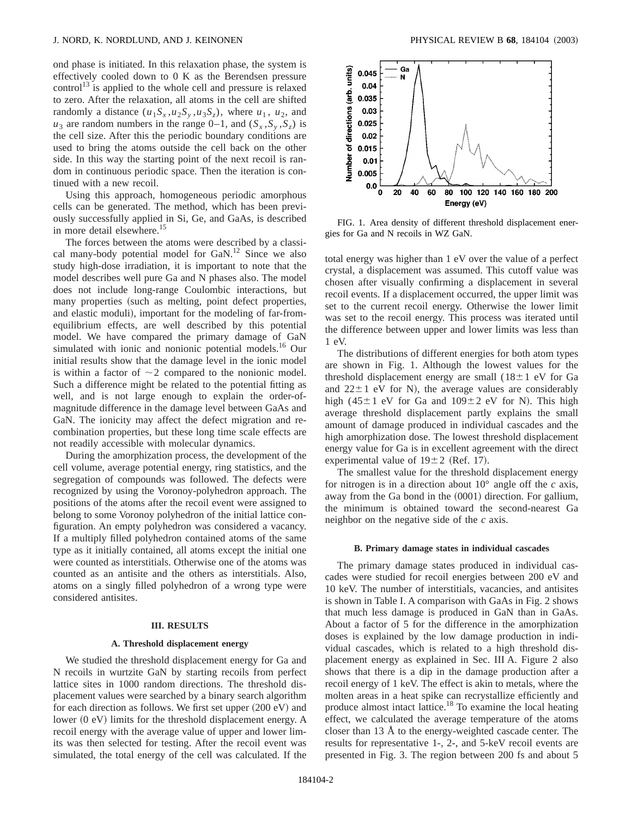ond phase is initiated. In this relaxation phase, the system is effectively cooled down to 0 K as the Berendsen pressure control<sup>13</sup> is applied to the whole cell and pressure is relaxed to zero. After the relaxation, all atoms in the cell are shifted randomly a distance  $(u_1S_x, u_2S_y, u_3S_z)$ , where  $u_1, u_2$ , and  $u_3$  are random numbers in the range 0–1, and  $(S_x, S_y, S_z)$  is the cell size. After this the periodic boundary conditions are used to bring the atoms outside the cell back on the other side. In this way the starting point of the next recoil is random in continuous periodic space. Then the iteration is continued with a new recoil.

Using this approach, homogeneous periodic amorphous cells can be generated. The method, which has been previously successfully applied in Si, Ge, and GaAs, is described in more detail elsewhere.<sup>15</sup>

The forces between the atoms were described by a classical many-body potential model for  $GaN$ <sup>12</sup> Since we also study high-dose irradiation, it is important to note that the model describes well pure Ga and N phases also. The model does not include long-range Coulombic interactions, but many properties (such as melting, point defect properties, and elastic moduli), important for the modeling of far-fromequilibrium effects, are well described by this potential model. We have compared the primary damage of GaN simulated with ionic and nonionic potential models.<sup>16</sup> Our initial results show that the damage level in the ionic model is within a factor of  $\sim$ 2 compared to the nonionic model. Such a difference might be related to the potential fitting as well, and is not large enough to explain the order-ofmagnitude difference in the damage level between GaAs and GaN. The ionicity may affect the defect migration and recombination properties, but these long time scale effects are not readily accessible with molecular dynamics.

During the amorphization process, the development of the cell volume, average potential energy, ring statistics, and the segregation of compounds was followed. The defects were recognized by using the Voronoy-polyhedron approach. The positions of the atoms after the recoil event were assigned to belong to some Voronoy polyhedron of the initial lattice configuration. An empty polyhedron was considered a vacancy. If a multiply filled polyhedron contained atoms of the same type as it initially contained, all atoms except the initial one were counted as interstitials. Otherwise one of the atoms was counted as an antisite and the others as interstitials. Also, atoms on a singly filled polyhedron of a wrong type were considered antisites.

#### **III. RESULTS**

#### **A. Threshold displacement energy**

We studied the threshold displacement energy for Ga and N recoils in wurtzite GaN by starting recoils from perfect lattice sites in 1000 random directions. The threshold displacement values were searched by a binary search algorithm for each direction as follows. We first set upper  $(200 \text{ eV})$  and lower  $(0 \text{ eV})$  limits for the threshold displacement energy. A recoil energy with the average value of upper and lower limits was then selected for testing. After the recoil event was simulated, the total energy of the cell was calculated. If the



FIG. 1. Area density of different threshold displacement energies for Ga and N recoils in WZ GaN.

total energy was higher than 1 eV over the value of a perfect crystal, a displacement was assumed. This cutoff value was chosen after visually confirming a displacement in several recoil events. If a displacement occurred, the upper limit was set to the current recoil energy. Otherwise the lower limit was set to the recoil energy. This process was iterated until the difference between upper and lower limits was less than 1 eV.

The distributions of different energies for both atom types are shown in Fig. 1. Although the lowest values for the threshold displacement energy are small  $(18\pm1$  eV for Ga and  $22 \pm 1$  eV for N), the average values are considerably high (45 $\pm$ 1 eV for Ga and 109 $\pm$ 2 eV for N). This high average threshold displacement partly explains the small amount of damage produced in individual cascades and the high amorphization dose. The lowest threshold displacement energy value for Ga is in excellent agreement with the direct experimental value of  $19±2$  (Ref. 17).

The smallest value for the threshold displacement energy for nitrogen is in a direction about 10° angle off the *c* axis, away from the Ga bond in the  $(0001)$  direction. For gallium, the minimum is obtained toward the second-nearest Ga neighbor on the negative side of the *c* axis.

#### **B. Primary damage states in individual cascades**

The primary damage states produced in individual cascades were studied for recoil energies between 200 eV and 10 keV. The number of interstitials, vacancies, and antisites is shown in Table I. A comparison with GaAs in Fig. 2 shows that much less damage is produced in GaN than in GaAs. About a factor of 5 for the difference in the amorphization doses is explained by the low damage production in individual cascades, which is related to a high threshold displacement energy as explained in Sec. III A. Figure 2 also shows that there is a dip in the damage production after a recoil energy of 1 keV. The effect is akin to metals, where the molten areas in a heat spike can recrystallize efficiently and produce almost intact lattice.18 To examine the local heating effect, we calculated the average temperature of the atoms closer than 13 Å to the energy-weighted cascade center. The results for representative 1-, 2-, and 5-keV recoil events are presented in Fig. 3. The region between 200 fs and about 5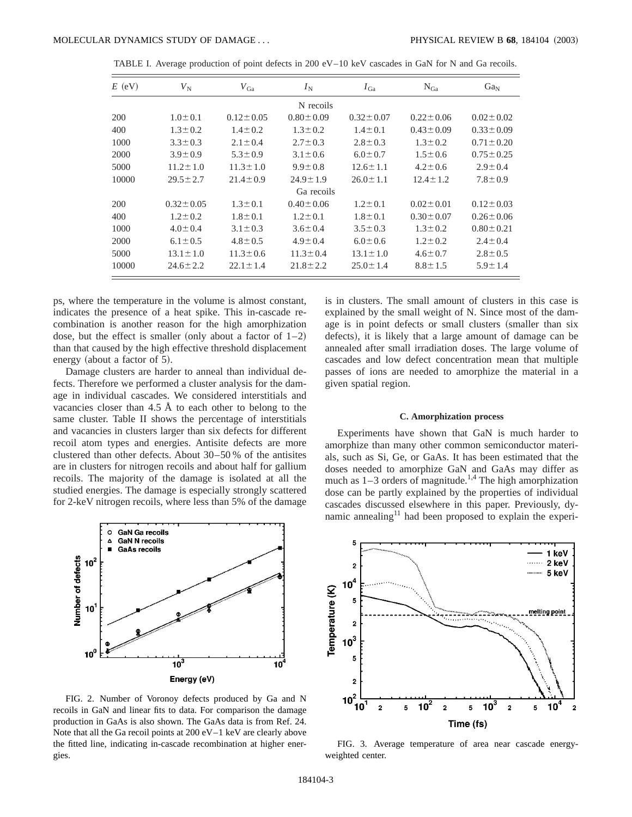| $E$ (eV)  | $V_{\rm N}$     | $V_{Ga}$        | $I_{\rm N}$     | $I_{Ga}$        | $N_{Ga}$        | Ga <sub>N</sub> |  |
|-----------|-----------------|-----------------|-----------------|-----------------|-----------------|-----------------|--|
| N recoils |                 |                 |                 |                 |                 |                 |  |
| 200       | $1.0 \pm 0.1$   | $0.12 \pm 0.05$ | $0.80 \pm 0.09$ | $0.32 \pm 0.07$ | $0.22 \pm 0.06$ | $0.02 \pm 0.02$ |  |
| 400       | $1.3 \pm 0.2$   | $1.4 \pm 0.2$   | $1.3 \pm 0.2$   | $1.4 \pm 0.1$   | $0.43 \pm 0.09$ | $0.33 \pm 0.09$ |  |
| 1000      | $3.3 \pm 0.3$   | $2.1 \pm 0.4$   | $2.7 \pm 0.3$   | $2.8 \pm 0.3$   | $1.3 \pm 0.2$   | $0.71 \pm 0.20$ |  |
| 2000      | $3.9 \pm 0.9$   | $5.3 \pm 0.9$   | $3.1 \pm 0.6$   | $6.0 \pm 0.7$   | $1.5 \pm 0.6$   | $0.75 \pm 0.25$ |  |
| 5000      | $11.2 \pm 1.0$  | $11.3 \pm 1.0$  | $9.9 \pm 0.8$   | $12.6 \pm 1.1$  | $4.2 \pm 0.6$   | $2.9 \pm 0.4$   |  |
| 10000     | $29.5 \pm 2.7$  | $21.4 \pm 0.9$  | $24.9 \pm 1.9$  | $26.0 \pm 1.1$  | $12.4 \pm 1.2$  | $7.8 \pm 0.9$   |  |
|           |                 |                 | Ga recoils      |                 |                 |                 |  |
| 200       | $0.32 \pm 0.05$ | $1.3 \pm 0.1$   | $0.40 \pm 0.06$ | $1.2 \pm 0.1$   | $0.02 \pm 0.01$ | $0.12 \pm 0.03$ |  |
| 400       | $1.2 \pm 0.2$   | $1.8 \pm 0.1$   | $1.2 \pm 0.1$   | $1.8 \pm 0.1$   | $0.30 \pm 0.07$ | $0.26 \pm 0.06$ |  |
| 1000      | $4.0 \pm 0.4$   | $3.1 \pm 0.3$   | $3.6 \pm 0.4$   | $3.5 \pm 0.3$   | $1.3 \pm 0.2$   | $0.80 \pm 0.21$ |  |
| 2000      | $6.1 \pm 0.5$   | $4.8 \pm 0.5$   | $4.9 \pm 0.4$   | $6.0 \pm 0.6$   | $1.2 \pm 0.2$   | $2.4 \pm 0.4$   |  |
| 5000      | $13.1 \pm 1.0$  | $11.3 \pm 0.6$  | $11.3 \pm 0.4$  | $13.1 \pm 1.0$  | $4.6 \pm 0.7$   | $2.8 \pm 0.5$   |  |
| 10000     | $24.6 \pm 2.2$  | $22.1 \pm 1.4$  | $21.8 \pm 2.2$  | $25.0 \pm 1.4$  | $8.8 \pm 1.5$   | $5.9 \pm 1.4$   |  |

TABLE I. Average production of point defects in 200 eV–10 keV cascades in GaN for N and Ga recoils.

ps, where the temperature in the volume is almost constant, indicates the presence of a heat spike. This in-cascade recombination is another reason for the high amorphization dose, but the effect is smaller (only about a factor of  $1-2$ ) than that caused by the high effective threshold displacement energy (about a factor of  $5$ ).

Damage clusters are harder to anneal than individual defects. Therefore we performed a cluster analysis for the damage in individual cascades. We considered interstitials and vacancies closer than  $4.5 \text{ Å}$  to each other to belong to the same cluster. Table II shows the percentage of interstitials and vacancies in clusters larger than six defects for different recoil atom types and energies. Antisite defects are more clustered than other defects. About 30–50 % of the antisites are in clusters for nitrogen recoils and about half for gallium recoils. The majority of the damage is isolated at all the studied energies. The damage is especially strongly scattered for 2-keV nitrogen recoils, where less than 5% of the damage



FIG. 2. Number of Voronoy defects produced by Ga and N recoils in GaN and linear fits to data. For comparison the damage production in GaAs is also shown. The GaAs data is from Ref. 24. Note that all the Ga recoil points at 200 eV–1 keV are clearly above the fitted line, indicating in-cascade recombination at higher energies.

is in clusters. The small amount of clusters in this case is explained by the small weight of N. Since most of the damage is in point defects or small clusters (smaller than six defects), it is likely that a large amount of damage can be annealed after small irradiation doses. The large volume of cascades and low defect concentration mean that multiple passes of ions are needed to amorphize the material in a given spatial region.

#### **C. Amorphization process**

Experiments have shown that GaN is much harder to amorphize than many other common semiconductor materials, such as Si, Ge, or GaAs. It has been estimated that the doses needed to amorphize GaN and GaAs may differ as much as  $1-3$  orders of magnitude.<sup>1,4</sup> The high amorphization dose can be partly explained by the properties of individual cascades discussed elsewhere in this paper. Previously, dynamic annealing<sup>11</sup> had been proposed to explain the experi-



FIG. 3. Average temperature of area near cascade energyweighted center.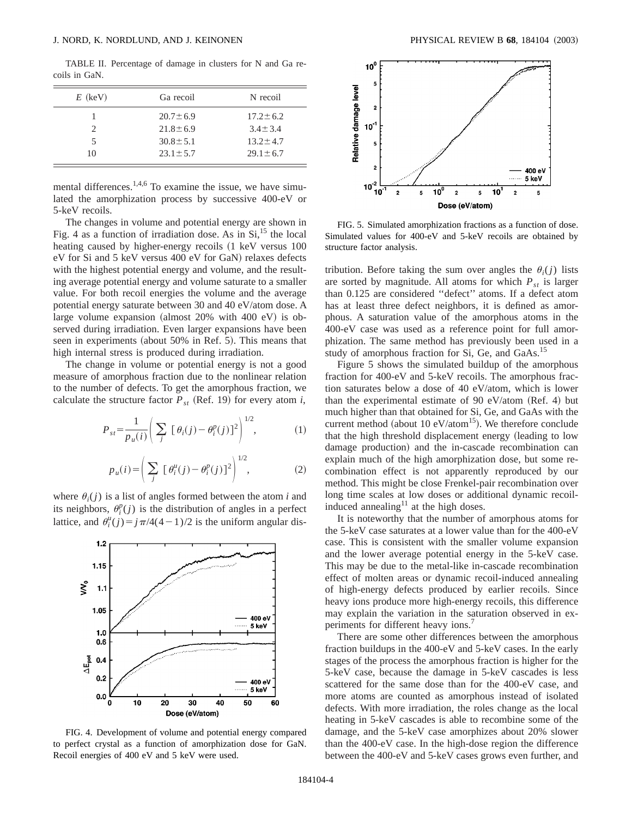TABLE II. Percentage of damage in clusters for N and Ga recoils in GaN.

| $E$ (keV) | Ga recoil      | N recoil       |
|-----------|----------------|----------------|
|           | $20.7 \pm 6.9$ | $17.2 \pm 6.2$ |
| 2         | $21.8 \pm 6.9$ | $3.4 + 3.4$    |
| 5         | $30.8 \pm 5.1$ | $13.2 \pm 4.7$ |
| 10        | $23.1 \pm 5.7$ | $29.1 \pm 6.7$ |

mental differences.<sup>1,4,6</sup> To examine the issue, we have simulated the amorphization process by successive 400-eV or 5-keV recoils.

The changes in volume and potential energy are shown in Fig. 4 as a function of irradiation dose. As in  $Si$ , <sup>15</sup> the local heating caused by higher-energy recoils (1 keV versus 100 eV for Si and 5 keV versus 400 eV for GaN) relaxes defects with the highest potential energy and volume, and the resulting average potential energy and volume saturate to a smaller value. For both recoil energies the volume and the average potential energy saturate between 30 and 40 eV/atom dose. A large volume expansion (almost  $20\%$  with  $400$  eV) is observed during irradiation. Even larger expansions have been seen in experiments (about 50% in Ref. 5). This means that high internal stress is produced during irradiation.

The change in volume or potential energy is not a good measure of amorphous fraction due to the nonlinear relation to the number of defects. To get the amorphous fraction, we calculate the structure factor  $P_{st}$  (Ref. 19) for every atom *i*,

$$
P_{st} = \frac{1}{p_u(i)} \left( \sum_j \left[ \theta_i(j) - \theta_i^p(j) \right]^2 \right)^{1/2}, \tag{1}
$$

$$
p_u(i) = \left(\sum_j \left[\theta_i^u(j) - \theta_i^p(j)\right]^2\right)^{1/2},\tag{2}
$$

where  $\theta_i(j)$  is a list of angles formed between the atom *i* and its neighbors,  $\theta_i^p(j)$  is the distribution of angles in a perfect lattice, and  $\theta_i^u(j) = j \pi/4(4-1)/2$  is the uniform angular dis-



FIG. 4. Development of volume and potential energy compared to perfect crystal as a function of amorphization dose for GaN. Recoil energies of 400 eV and 5 keV were used.



FIG. 5. Simulated amorphization fractions as a function of dose. Simulated values for 400-eV and 5-keV recoils are obtained by structure factor analysis.

tribution. Before taking the sum over angles the  $\theta_i(j)$  lists are sorted by magnitude. All atoms for which  $P_{st}$  is larger than 0.125 are considered ''defect'' atoms. If a defect atom has at least three defect neighbors, it is defined as amorphous. A saturation value of the amorphous atoms in the 400-eV case was used as a reference point for full amorphization. The same method has previously been used in a study of amorphous fraction for Si, Ge, and GaAs.<sup>15</sup>

Figure 5 shows the simulated buildup of the amorphous fraction for 400-eV and 5-keV recoils. The amorphous fraction saturates below a dose of 40 eV/atom, which is lower than the experimental estimate of 90 eV/atom (Ref. 4) but much higher than that obtained for Si, Ge, and GaAs with the current method (about 10  $eV/atom^{15}$ ). We therefore conclude that the high threshold displacement energy (leading to low damage production) and the in-cascade recombination can explain much of the high amorphization dose, but some recombination effect is not apparently reproduced by our method. This might be close Frenkel-pair recombination over long time scales at low doses or additional dynamic recoilinduced annealing $11$  at the high doses.

It is noteworthy that the number of amorphous atoms for the 5-keV case saturates at a lower value than for the 400-eV case. This is consistent with the smaller volume expansion and the lower average potential energy in the 5-keV case. This may be due to the metal-like in-cascade recombination effect of molten areas or dynamic recoil-induced annealing of high-energy defects produced by earlier recoils. Since heavy ions produce more high-energy recoils, this difference may explain the variation in the saturation observed in experiments for different heavy ions.<sup>7</sup>

There are some other differences between the amorphous fraction buildups in the 400-eV and 5-keV cases. In the early stages of the process the amorphous fraction is higher for the 5-keV case, because the damage in 5-keV cascades is less scattered for the same dose than for the 400-eV case, and more atoms are counted as amorphous instead of isolated defects. With more irradiation, the roles change as the local heating in 5-keV cascades is able to recombine some of the damage, and the 5-keV case amorphizes about 20% slower than the 400-eV case. In the high-dose region the difference between the 400-eV and 5-keV cases grows even further, and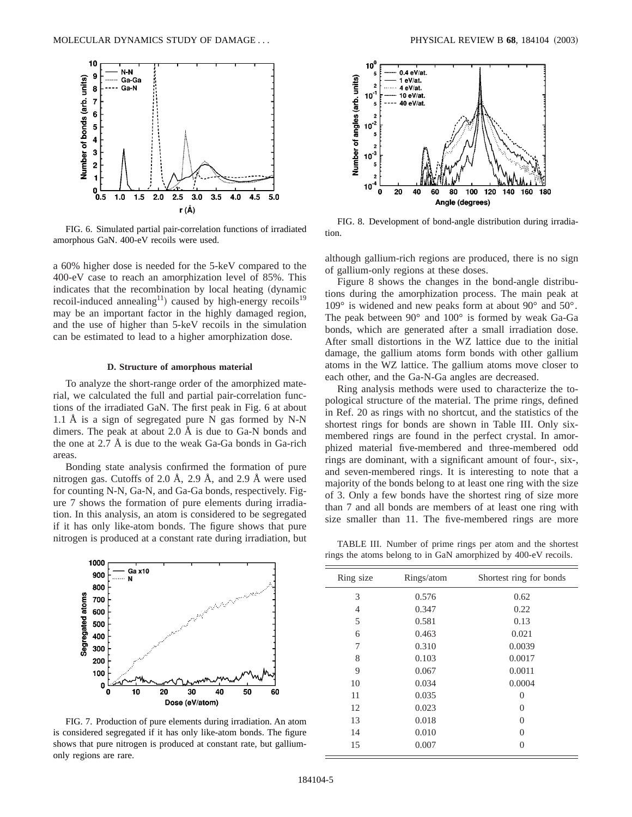

FIG. 6. Simulated partial pair-correlation functions of irradiated amorphous GaN. 400-eV recoils were used.

a 60% higher dose is needed for the 5-keV compared to the 400-eV case to reach an amorphization level of 85%. This indicates that the recombination by local heating (dynamic recoil-induced annealing<sup>11</sup>) caused by high-energy recoils<sup>19</sup> may be an important factor in the highly damaged region, and the use of higher than 5-keV recoils in the simulation can be estimated to lead to a higher amorphization dose.

### **D. Structure of amorphous material**

To analyze the short-range order of the amorphized material, we calculated the full and partial pair-correlation functions of the irradiated GaN. The first peak in Fig. 6 at about 1.1 Å is a sign of segregated pure N gas formed by N-N dimers. The peak at about 2.0 Å is due to Ga-N bonds and the one at 2.7 Å is due to the weak Ga-Ga bonds in Ga-rich areas.

Bonding state analysis confirmed the formation of pure nitrogen gas. Cutoffs of 2.0 Å, 2.9 Å, and 2.9 Å were used for counting N-N, Ga-N, and Ga-Ga bonds, respectively. Figure 7 shows the formation of pure elements during irradiation. In this analysis, an atom is considered to be segregated if it has only like-atom bonds. The figure shows that pure nitrogen is produced at a constant rate during irradiation, but



FIG. 7. Production of pure elements during irradiation. An atom is considered segregated if it has only like-atom bonds. The figure shows that pure nitrogen is produced at constant rate, but galliumonly regions are rare.



FIG. 8. Development of bond-angle distribution during irradiation.

although gallium-rich regions are produced, there is no sign of gallium-only regions at these doses.

Figure 8 shows the changes in the bond-angle distributions during the amorphization process. The main peak at 109° is widened and new peaks form at about 90° and 50°. The peak between 90° and 100° is formed by weak Ga-Ga bonds, which are generated after a small irradiation dose. After small distortions in the WZ lattice due to the initial damage, the gallium atoms form bonds with other gallium atoms in the WZ lattice. The gallium atoms move closer to each other, and the Ga-N-Ga angles are decreased.

Ring analysis methods were used to characterize the topological structure of the material. The prime rings, defined in Ref. 20 as rings with no shortcut, and the statistics of the shortest rings for bonds are shown in Table III. Only sixmembered rings are found in the perfect crystal. In amorphized material five-membered and three-membered odd rings are dominant, with a significant amount of four-, six-, and seven-membered rings. It is interesting to note that a majority of the bonds belong to at least one ring with the size of 3. Only a few bonds have the shortest ring of size more than 7 and all bonds are members of at least one ring with size smaller than 11. The five-membered rings are more

TABLE III. Number of prime rings per atom and the shortest rings the atoms belong to in GaN amorphized by 400-eV recoils.

| Ring size | Rings/atom | Shortest ring for bonds |
|-----------|------------|-------------------------|
| 3         | 0.576      | 0.62                    |
| 4         | 0.347      | 0.22                    |
| 5         | 0.581      | 0.13                    |
| 6         | 0.463      | 0.021                   |
| 7         | 0.310      | 0.0039                  |
| 8         | 0.103      | 0.0017                  |
| 9         | 0.067      | 0.0011                  |
| 10        | 0.034      | 0.0004                  |
| 11        | 0.035      | 0                       |
| 12        | 0.023      | $\Omega$                |
| 13        | 0.018      | 0                       |
| 14        | 0.010      | $\Omega$                |
| 15        | 0.007      | 0                       |
|           |            |                         |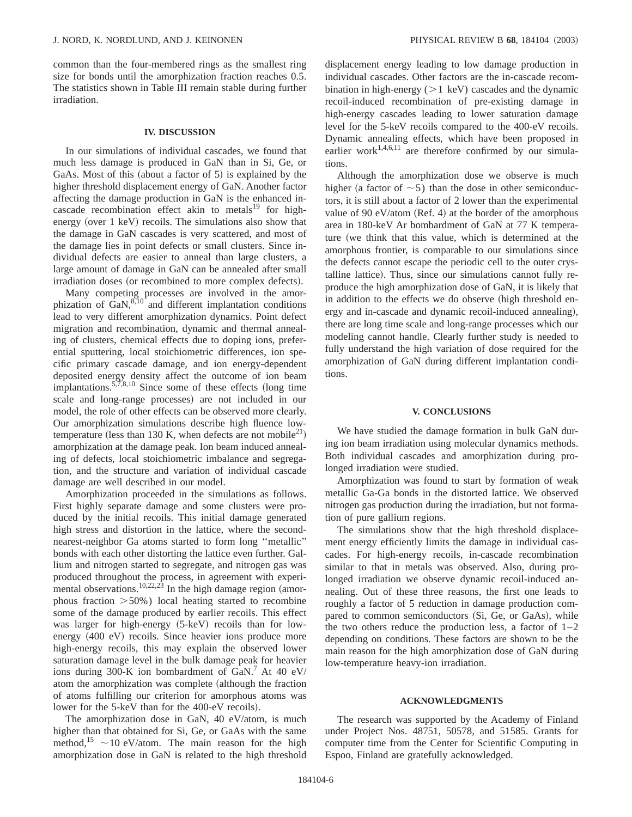common than the four-membered rings as the smallest ring size for bonds until the amorphization fraction reaches 0.5. The statistics shown in Table III remain stable during further irradiation.

### **IV. DISCUSSION**

In our simulations of individual cascades, we found that much less damage is produced in GaN than in Si, Ge, or GaAs. Most of this (about a factor of  $5$ ) is explained by the higher threshold displacement energy of GaN. Another factor affecting the damage production in GaN is the enhanced incascade recombination effect akin to metals $^{19}$  for highenergy (over  $1 \text{ keV}$ ) recoils. The simulations also show that the damage in GaN cascades is very scattered, and most of the damage lies in point defects or small clusters. Since individual defects are easier to anneal than large clusters, a large amount of damage in GaN can be annealed after small irradiation doses (or recombined to more complex defects).

Many competing processes are involved in the amorphization of  $\text{Gal}_{\lambda}^{8,10}$  and different implantation conditions lead to very different amorphization dynamics. Point defect migration and recombination, dynamic and thermal annealing of clusters, chemical effects due to doping ions, preferential sputtering, local stoichiometric differences, ion specific primary cascade damage, and ion energy-dependent deposited energy density affect the outcome of ion beam implantations.<sup>5,7,8,10</sup> Since some of these effects (long time scale and long-range processes) are not included in our model, the role of other effects can be observed more clearly. Our amorphization simulations describe high fluence lowtemperature (less than 130 K, when defects are not mobile<sup>21</sup>) amorphization at the damage peak. Ion beam induced annealing of defects, local stoichiometric imbalance and segregation, and the structure and variation of individual cascade damage are well described in our model.

Amorphization proceeded in the simulations as follows. First highly separate damage and some clusters were produced by the initial recoils. This initial damage generated high stress and distortion in the lattice, where the secondnearest-neighbor Ga atoms started to form long ''metallic'' bonds with each other distorting the lattice even further. Gallium and nitrogen started to segregate, and nitrogen gas was produced throughout the process, in agreement with experimental observations.<sup>10,22,23</sup> In the high damage region (amorphous fraction  $>50\%$ ) local heating started to recombine some of the damage produced by earlier recoils. This effect was larger for high-energy (5-keV) recoils than for lowenergy  $(400 \text{ eV})$  recoils. Since heavier ions produce more high-energy recoils, this may explain the observed lower saturation damage level in the bulk damage peak for heavier ions during 300-K ion bombardment of GaN.<sup>7</sup> At 40 eV/ atom the amorphization was complete (although the fraction of atoms fulfilling our criterion for amorphous atoms was lower for the 5-keV than for the 400-eV recoils).

The amorphization dose in GaN, 40 eV/atom, is much higher than that obtained for Si, Ge, or GaAs with the same method,<sup>15</sup>  $\sim$  10 eV/atom. The main reason for the high amorphization dose in GaN is related to the high threshold

displacement energy leading to low damage production in individual cascades. Other factors are the in-cascade recombination in high-energy  $(>1 \text{ keV})$  cascades and the dynamic recoil-induced recombination of pre-existing damage in high-energy cascades leading to lower saturation damage level for the 5-keV recoils compared to the 400-eV recoils. Dynamic annealing effects, which have been proposed in earlier work<sup>1,4,6,11</sup> are therefore confirmed by our simulations.

Although the amorphization dose we observe is much higher (a factor of  $\sim$  5) than the dose in other semiconductors, it is still about a factor of 2 lower than the experimental value of 90 eV/atom (Ref. 4) at the border of the amorphous area in 180-keV Ar bombardment of GaN at 77 K temperature (we think that this value, which is determined at the amorphous frontier, is comparable to our simulations since the defects cannot escape the periodic cell to the outer crystalline lattice). Thus, since our simulations cannot fully reproduce the high amorphization dose of GaN, it is likely that in addition to the effects we do observe (high threshold energy and in-cascade and dynamic recoil-induced annealing), there are long time scale and long-range processes which our modeling cannot handle. Clearly further study is needed to fully understand the high variation of dose required for the amorphization of GaN during different implantation conditions.

### **V. CONCLUSIONS**

We have studied the damage formation in bulk GaN during ion beam irradiation using molecular dynamics methods. Both individual cascades and amorphization during prolonged irradiation were studied.

Amorphization was found to start by formation of weak metallic Ga-Ga bonds in the distorted lattice. We observed nitrogen gas production during the irradiation, but not formation of pure gallium regions.

The simulations show that the high threshold displacement energy efficiently limits the damage in individual cascades. For high-energy recoils, in-cascade recombination similar to that in metals was observed. Also, during prolonged irradiation we observe dynamic recoil-induced annealing. Out of these three reasons, the first one leads to roughly a factor of 5 reduction in damage production compared to common semiconductors (Si, Ge, or GaAs), while the two others reduce the production less, a factor of  $1-2$ depending on conditions. These factors are shown to be the main reason for the high amorphization dose of GaN during low-temperature heavy-ion irradiation.

### **ACKNOWLEDGMENTS**

The research was supported by the Academy of Finland under Project Nos. 48751, 50578, and 51585. Grants for computer time from the Center for Scientific Computing in Espoo, Finland are gratefully acknowledged.